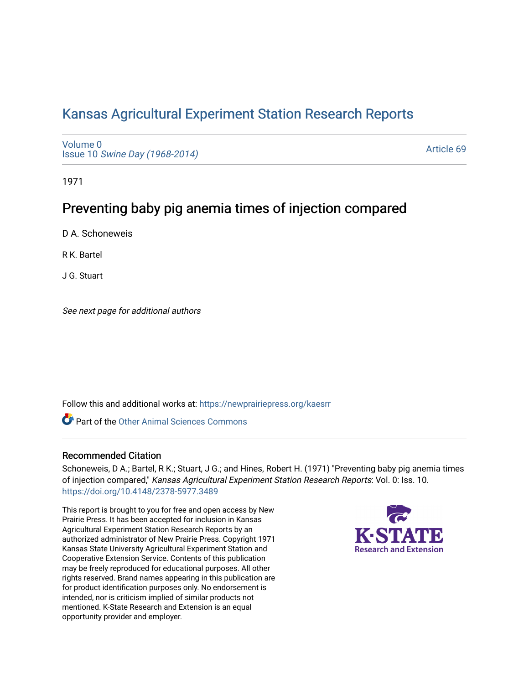## [Kansas Agricultural Experiment Station Research Reports](https://newprairiepress.org/kaesrr)

[Volume 0](https://newprairiepress.org/kaesrr/vol0) Issue 10 [Swine Day \(1968-2014\)](https://newprairiepress.org/kaesrr/vol0/iss10)

[Article 69](https://newprairiepress.org/kaesrr/vol0/iss10/69) 

1971

# Preventing baby pig anemia times of injection compared

D A. Schoneweis

R K. Bartel

J G. Stuart

See next page for additional authors

Follow this and additional works at: [https://newprairiepress.org/kaesrr](https://newprairiepress.org/kaesrr?utm_source=newprairiepress.org%2Fkaesrr%2Fvol0%2Fiss10%2F69&utm_medium=PDF&utm_campaign=PDFCoverPages) 

**C** Part of the [Other Animal Sciences Commons](http://network.bepress.com/hgg/discipline/82?utm_source=newprairiepress.org%2Fkaesrr%2Fvol0%2Fiss10%2F69&utm_medium=PDF&utm_campaign=PDFCoverPages)

## Recommended Citation

Schoneweis, D A.; Bartel, R K.; Stuart, J G.; and Hines, Robert H. (1971) "Preventing baby pig anemia times of injection compared," Kansas Agricultural Experiment Station Research Reports: Vol. 0: Iss. 10. <https://doi.org/10.4148/2378-5977.3489>

This report is brought to you for free and open access by New Prairie Press. It has been accepted for inclusion in Kansas Agricultural Experiment Station Research Reports by an authorized administrator of New Prairie Press. Copyright 1971 Kansas State University Agricultural Experiment Station and Cooperative Extension Service. Contents of this publication may be freely reproduced for educational purposes. All other rights reserved. Brand names appearing in this publication are for product identification purposes only. No endorsement is intended, nor is criticism implied of similar products not mentioned. K-State Research and Extension is an equal opportunity provider and employer.

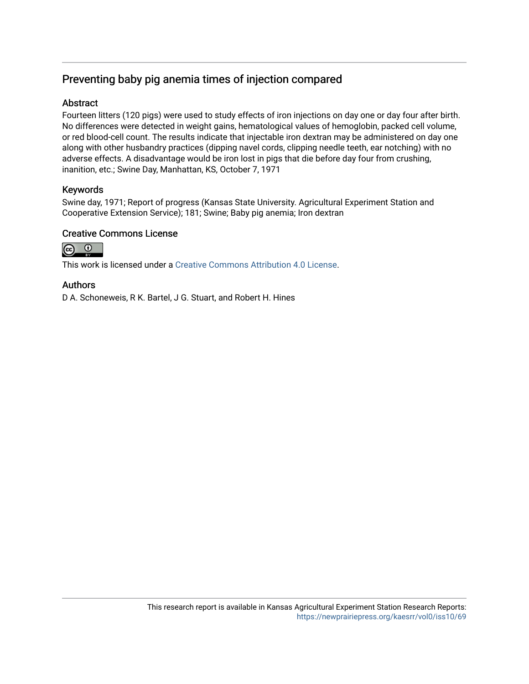## Preventing baby pig anemia times of injection compared

### **Abstract**

Fourteen litters (120 pigs) were used to study effects of iron injections on day one or day four after birth. No differences were detected in weight gains, hematological values of hemoglobin, packed cell volume, or red blood-cell count. The results indicate that injectable iron dextran may be administered on day one along with other husbandry practices (dipping navel cords, clipping needle teeth, ear notching) with no adverse effects. A disadvantage would be iron lost in pigs that die before day four from crushing, inanition, etc.; Swine Day, Manhattan, KS, October 7, 1971

### Keywords

Swine day, 1971; Report of progress (Kansas State University. Agricultural Experiment Station and Cooperative Extension Service); 181; Swine; Baby pig anemia; Iron dextran

### Creative Commons License



This work is licensed under a [Creative Commons Attribution 4.0 License](https://creativecommons.org/licenses/by/4.0/).

#### Authors

D A. Schoneweis, R K. Bartel, J G. Stuart, and Robert H. Hines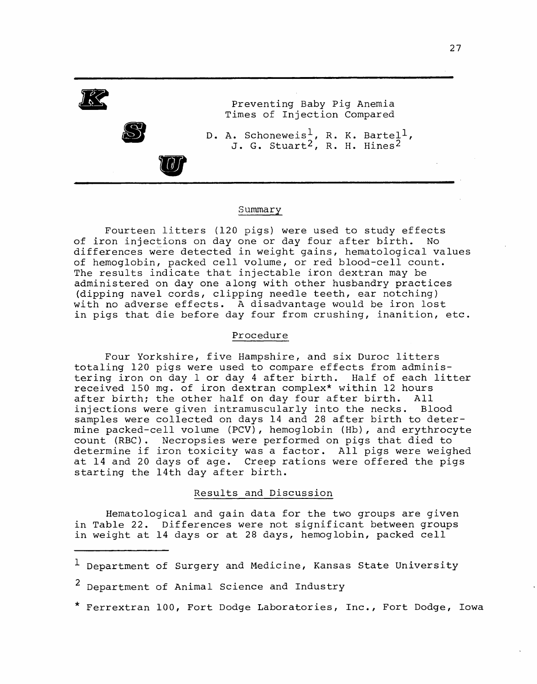

#### Summary

Fourteen litters (120 pigs) were used to study effects of iron injections on day one or day four after birth. No<br>differences were detected in weight gains, hematological values of hemoglobin, packed cell volume, or red blood-cell count. The results indicate that injectable iron dextran may be administered on day one along with other husbandry practices (dipping navel cords, clipping needle teeth, ear notching) with no adverse effects. A disadvantage would be iron lost in pigs that die before day four from crushing, inanition, etc.

#### Procedure

Four Yorkshire, five Hampshire, and six Duroc litters totaling 120 pigs were used to compare effects from administering iron on day 1 or day 4 after birth. Half of each litter received 150 mg. of iron dextran complex\* within 12 hours after birth; the other half on day four after birth. All injections were given intramuscularly into the necks. Blood samples were collected on days 14 and 28 after birth to determine packed-cell volume (PCV), hemoglobin (Hb), and erythrocyte count (RBC). Necropsies were performed on pigs that died to determine if iron toxicity was a factor. All pigs were weighed at 14 and 20 days of age. Creep rations were offered the pigs starting the 14th day after birth.

#### Results and Discussion

Hematological and gain data for the two groups are given in Table 22. Differences were not significant between groups in weight at 14 days or at 28 days, hemoglobin, packed cell

\* Ferrextran 100, Fort Dodge Laboratories, Inc., Fort Dodge, Iowa

<sup>&</sup>lt;sup>1</sup> Department of Surgery and Medicine, Kansas State University

 $\overline{\mathbf{c}}$ Department of Animal Science and Industry